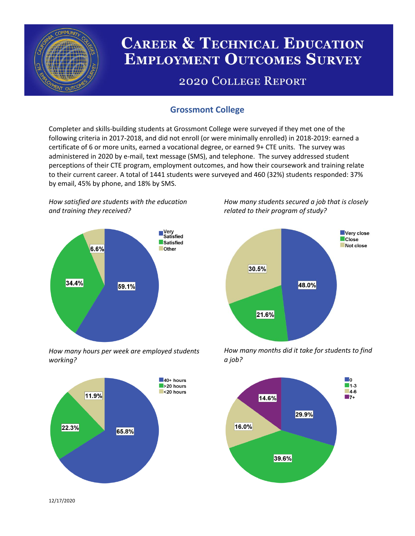

# **CAREER & TECHNICAL EDUCATION EMPLOYMENT OUTCOMES SURVEY**

## **2020 COLLEGE REPORT**

## **Grossmont College**

Completer and skills-building students at Grossmont College were surveyed if they met one of the following criteria in 2017-2018, and did not enroll (or were minimally enrolled) in 2018-2019: earned a certificate of 6 or more units, earned a vocational degree, or earned 9+ CTE units. The survey was administered in 2020 by e-mail, text message (SMS), and telephone. The survey addressed student perceptions of their CTE program, employment outcomes, and how their coursework and training relate to their current career. A total of 1441 students were surveyed and 460 (32%) students responded: 37% by email, 45% by phone, and 18% by SMS.

*How satisfied are students with the education and training they received?*



*How many hours per week are employed students working?*



*How many students secured a job that is closely related to their program of study?*



*How many months did it take for students to find a job?*



12/17/2020